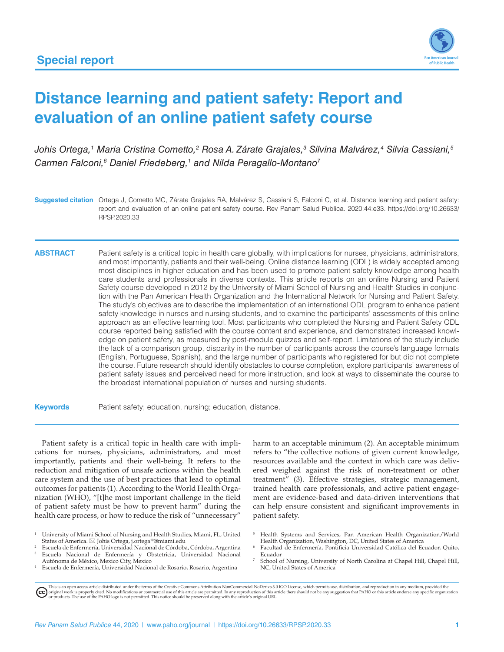

# **Distance learning and patient safety: Report and evaluation of an online patient safety course**

*Johis Ortega,1 Maria Cristina Cometto,2 Rosa A. Zárate Grajales,3 Silvina Malvárez,4 Silvia Cassiani,5 Carmen Falconi,6 Daniel Friedeberg,1 and Nilda Peragallo-Montano7*

**Suggested citation** Ortega J, Cometto MC, Zárate Grajales RA, Malvárez S, Cassiani S, Falconi C, et al. Distance learning and patient safety: report and evaluation of an online patient safety course. Rev Panam Salud Publica. 2020;44:e33. [https://doi.org/10.26633/](https://doi.org/10.26633/RPSP.2020.33) [RPSP.2020.33](https://doi.org/10.26633/RPSP.2020.33)

**ABSTRACT** Patient safety is a critical topic in health care globally, with implications for nurses, physicians, administrators, and most importantly, patients and their well-being. Online distance learning (ODL) is widely accepted among most disciplines in higher education and has been used to promote patient safety knowledge among health care students and professionals in diverse contexts. This article reports on an online Nursing and Patient Safety course developed in 2012 by the University of Miami School of Nursing and Health Studies in conjunction with the Pan American Health Organization and the International Network for Nursing and Patient Safety. The study's objectives are to describe the implementation of an international ODL program to enhance patient safety knowledge in nurses and nursing students, and to examine the participants' assessments of this online approach as an effective learning tool. Most participants who completed the Nursing and Patient Safety ODL course reported being satisfied with the course content and experience, and demonstrated increased knowledge on patient safety, as measured by post-module quizzes and self-report. Limitations of the study include the lack of a comparison group, disparity in the number of participants across the course's language formats (English, Portuguese, Spanish), and the large number of participants who registered for but did not complete the course. Future research should identify obstacles to course completion, explore participants' awareness of patient safety issues and perceived need for more instruction, and look at ways to disseminate the course to the broadest international population of nurses and nursing students.

**Keywords** Patient safety; education, nursing; education, distance.

Patient safety is a critical topic in health care with implications for nurses, physicians, administrators, and most importantly, patients and their well-being. It refers to the reduction and mitigation of unsafe actions within the health care system and the use of best practices that lead to optimal outcomes for patients (1). According to the World Health Organization (WHO), "[t]he most important challenge in the field of patient safety must be how to prevent harm" during the health care process, or how to reduce the risk of "unnecessary"

harm to an acceptable minimum (2). An acceptable minimum refers to "the collective notions of given current knowledge, resources available and the context in which care was delivered weighed against the risk of non-treatment or other treatment" (3). Effective strategies, strategic management, trained health care professionals, and active patient engagement are evidence-based and data-driven interventions that can help ensure consistent and significant improvements in patient safety.

<sup>5</sup> Health Systems and Services, Pan American Health Organization/World Health Organization, Washington, DC, United States of America

School of Nursing, University of North Carolina at Chapel Hill, Chapel Hill, NC, United States of America

This is an open access article distributed under the terms of the [Creative Commons Attribution-NonCommercial-NoDerivs 3.0 IGO License](https://creativecommons.org/licenses/by-nc-nd/3.0/igo/legalcode), which permits use, distribution, and reproduction in any medium, provided the<br>orignal w

<sup>1</sup> University of Miami School of Nursing and Health Studies, Miami, FL, United States of America. ⊠ Johis Ortega, j.ortega<sup>10</sup>@miami.edu

<sup>2</sup> Escuela de Enfermería, Universidad Nacional de Córdoba, Córdoba, Argentina Escuela Nacional de Enfermería y Obstetricia, Universidad Nacional

Autónoma de México, Mexico City, Mexico <sup>4</sup> Escuela de Enfermería, Universidad Nacional de Rosario, Rosario, Argentina

<sup>6</sup> Facultad de Enfermería, Pontificia Universidad Católica del Ecuador, Quito, Ecuador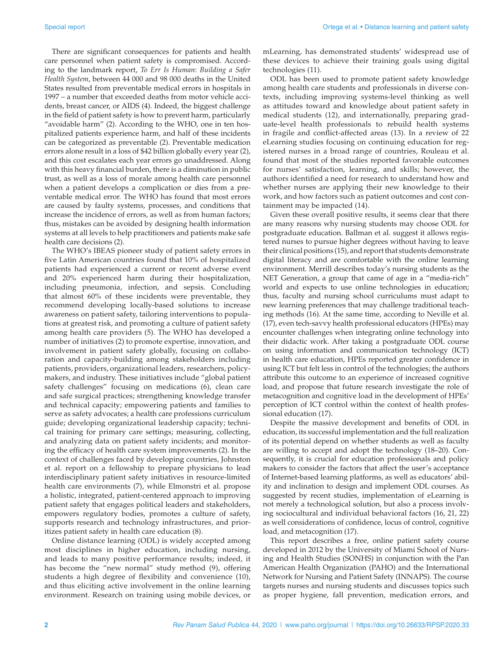There are significant consequences for patients and health care personnel when patient safety is compromised. According to the landmark report, *To Err Is Human*: *Building a Safer Health System*, between 44 000 and 98 000 deaths in the United States resulted from preventable medical errors in hospitals in 1997 – a number that exceeded deaths from motor vehicle accidents, breast cancer, or AIDS (4). Indeed, the biggest challenge in the field of patient safety is how to prevent harm, particularly "avoidable harm" (2). According to the WHO, one in ten hospitalized patients experience harm, and half of these incidents can be categorized as preventable (2). Preventable medication errors alone result in a loss of \$42 billion globally every year (2), and this cost escalates each year errors go unaddressed. Along with this heavy financial burden, there is a diminution in public trust, as well as a loss of morale among health care personnel when a patient develops a complication or dies from a preventable medical error. The WHO has found that most errors are caused by faulty systems, processes, and conditions that increase the incidence of errors, as well as from human factors; thus, mistakes can be avoided by designing health information systems at all levels to help practitioners and patients make safe health care decisions (2).

The WHO's IBEAS pioneer study of patient safety errors in five Latin American countries found that 10% of hospitalized patients had experienced a current or recent adverse event and 20% experienced harm during their hospitalization, including pneumonia, infection, and sepsis. Concluding that almost 60% of these incidents were preventable, they recommend developing locally-based solutions to increase awareness on patient safety, tailoring interventions to populations at greatest risk, and promoting a culture of patient safety among health care providers (5). The WHO has developed a number of initiatives (2) to promote expertise, innovation, and involvement in patient safety globally, focusing on collaboration and capacity-building among stakeholders including patients, providers, organizational leaders, researchers, policymakers, and industry. These initiatives include "global patient safety challenges" focusing on medications (6), clean care and safe surgical practices; strengthening knowledge transfer and technical capacity; empowering patients and families to serve as safety advocates; a health care professions curriculum guide; developing organizational leadership capacity; technical training for primary care settings; measuring, collecting, and analyzing data on patient safety incidents; and monitoring the efficacy of health care system improvements (2). In the context of challenges faced by developing countries, Johnston et al. report on a fellowship to prepare physicians to lead interdisciplinary patient safety initiatives in resource-limited health care environments (7), while Elmonstri et al. propose a holistic, integrated, patient-centered approach to improving patient safety that engages political leaders and stakeholders, empowers regulatory bodies, promotes a culture of safety, supports research and technology infrastructures, and prioritizes patient safety in health care education (8).

Online distance learning (ODL) is widely accepted among most disciplines in higher education, including nursing, and leads to many positive performance results; indeed, it has become the "new normal" study method (9), offering students a high degree of flexibility and convenience (10), and thus eliciting active involvement in the online learning environment. Research on training using mobile devices, or

mLearning, has demonstrated students' widespread use of these devices to achieve their training goals using digital technologies (11).

ODL has been used to promote patient safety knowledge among health care students and professionals in diverse contexts, including improving systems-level thinking as well as attitudes toward and knowledge about patient safety in medical students (12), and internationally, preparing graduate-level health professionals to rebuild health systems in fragile and conflict-affected areas (13). In a review of 22 eLearning studies focusing on continuing education for registered nurses in a broad range of countries, Rouleau et al. found that most of the studies reported favorable outcomes for nurses' satisfaction, learning, and skills; however, the authors identified a need for research to understand how and whether nurses are applying their new knowledge to their work, and how factors such as patient outcomes and cost containment may be impacted (14).

Given these overall positive results, it seems clear that there are many reasons why nursing students may choose ODL for postgraduate education. Ballman et al. suggest it allows registered nurses to pursue higher degrees without having to leave their clinical positions (15), and report that students demonstrate digital literacy and are comfortable with the online learning environment. Merrill describes today's nursing students as the NET Generation, a group that came of age in a "media-rich" world and expects to use online technologies in education; thus, faculty and nursing school curriculums must adapt to new learning preferences that may challenge traditional teaching methods (16). At the same time, according to Neville et al. (17), even tech-savvy health professional educators (HPEs) may encounter challenges when integrating online technology into their didactic work. After taking a postgraduate ODL course on using information and communication technology (ICT) in health care education, HPEs reported greater confidence in using ICT but felt less in control of the technologies; the authors attribute this outcome to an experience of increased cognitive load, and propose that future research investigate the role of metacognition and cognitive load in the development of HPEs' perception of ICT control within the context of health professional education (17).

Despite the massive development and benefits of ODL in education, its successful implementation and the full realization of its potential depend on whether students as well as faculty are willing to accept and adopt the technology (18–20). Consequently, it is crucial for education professionals and policy makers to consider the factors that affect the user's acceptance of Internet-based learning platforms, as well as educators' ability and inclination to design and implement ODL courses. As suggested by recent studies, implementation of eLearning is not merely a technological solution, but also a process involving sociocultural and individual behavioral factors (16, 21, 22) as well considerations of confidence, locus of control, cognitive load, and metacognition (17).

This report describes a free, online patient safety course developed in 2012 by the University of Miami School of Nursing and Health Studies (SONHS) in conjunction with the Pan American Health Organization (PAHO) and the International Network for Nursing and Patient Safety (INNAPS). The course targets nurses and nursing students and discusses topics such as proper hygiene, fall prevention, medication errors, and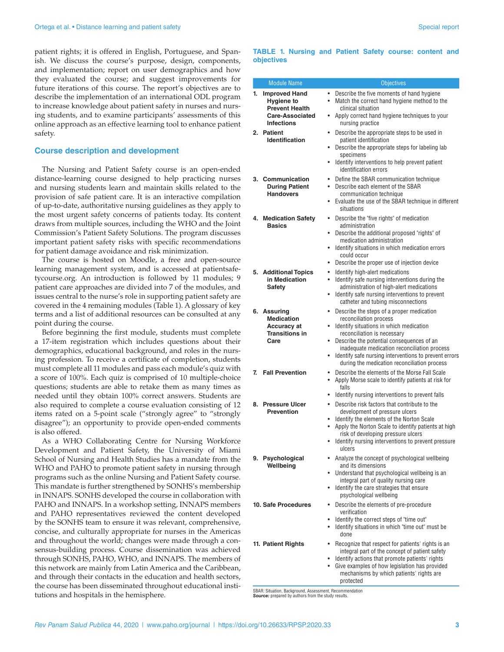patient rights; it is offered in English, Portuguese, and Spanish. We discuss the course's purpose, design, components, and implementation; report on user demographics and how they evaluated the course; and suggest improvements for future iterations of this course. The report's objectives are to describe the implementation of an international ODL program to increase knowledge about patient safety in nurses and nursing students, and to examine participants' assessments of this online approach as an effective learning tool to enhance patient safety.

#### **Course description and development**

The Nursing and Patient Safety course is an open-ended distance-learning course designed to help practicing nurses and nursing students learn and maintain skills related to the provision of safe patient care. It is an interactive compilation of up-to-date, authoritative nursing guidelines as they apply to the most urgent safety concerns of patients today. Its content draws from multiple sources, including the WHO and the Joint Commission's Patient Safety Solutions. The program discusses important patient safety risks with specific recommendations for patient damage avoidance and risk minimization.

The course is hosted on Moodle, a free and open-source learning management system, and is accessed at patientsafetycourse.org. An introduction is followed by 11 modules; 9 patient care approaches are divided into 7 of the modules, and issues central to the nurse's role in supporting patient safety are covered in the 4 remaining modules (Table 1). A glossary of key terms and a list of additional resources can be consulted at any point during the course.

Before beginning the first module, students must complete a 17-item registration which includes questions about their demographics, educational background, and roles in the nursing profession. To receive a certificate of completion, students must complete all 11 modules and pass each module's quiz with a score of 100%. Each quiz is comprised of 10 multiple-choice questions; students are able to retake them as many times as needed until they obtain 100% correct answers. Students are also required to complete a course evaluation consisting of 12 items rated on a 5-point scale ("strongly agree" to "strongly disagree"); an opportunity to provide open-ended comments is also offered.

As a WHO Collaborating Centre for Nursing Workforce Development and Patient Safety, the University of Miami School of Nursing and Health Studies has a mandate from the WHO and PAHO to promote patient safety in nursing through programs such as the online Nursing and Patient Safety course. This mandate is further strengthened by SONHS's membership in INNAPS. SONHS developed the course in collaboration with PAHO and INNAPS. In a workshop setting, INNAPS members and PAHO representatives reviewed the content developed by the SONHS team to ensure it was relevant, comprehensive, concise, and culturally appropriate for nurses in the Americas and throughout the world; changes were made through a consensus-building process. Course dissemination was achieved through SONHS, PAHO, WHO, and INNAPS. The members of this network are mainly from Latin America and the Caribbean, and through their contacts in the education and health sectors, the course has been disseminated throughout educational institutions and hospitals in the hemisphere.

#### **TABLE 1. Nursing and Patient Safety course: content and objectives**

|    | <b>Module Name</b>                                                                                                | <b>Objectives</b>                                                                                                                                                                                                                                                                                                                                                  |
|----|-------------------------------------------------------------------------------------------------------------------|--------------------------------------------------------------------------------------------------------------------------------------------------------------------------------------------------------------------------------------------------------------------------------------------------------------------------------------------------------------------|
| 1. | <b>Improved Hand</b><br><b>Hygiene to</b><br><b>Prevent Health</b><br><b>Care-Associated</b><br><b>Infections</b> | Describe the five moments of hand hygiene<br>$\bullet$<br>Match the correct hand hygiene method to the<br>$\bullet$<br>clinical situation<br>Apply correct hand hygiene techniques to your<br>٠<br>nursing practice                                                                                                                                                |
|    | 2. Patient<br><b>Identification</b>                                                                               | Describe the appropriate steps to be used in<br>٠<br>patient identification<br>Describe the appropriate steps for labeling lab<br>۰<br>specimens<br>Identify interventions to help prevent patient<br>٠<br>identification errors                                                                                                                                   |
|    | 3. Communication<br><b>During Patient</b><br><b>Handovers</b>                                                     | Define the SBAR communication technique<br>$\bullet$<br>• Describe each element of the SBAR<br>communication technique<br>Evaluate the use of the SBAR technique in different<br>٠<br>situations                                                                                                                                                                   |
|    | 4. Medication Safety<br><b>Basics</b>                                                                             | Describe the "five rights" of medication<br>٠<br>administration<br>Describe the additional proposed "rights" of<br>٠<br>medication administration<br>Identify situations in which medication errors<br>٠<br>could occur<br>Describe the proper use of injection device<br>٠                                                                                        |
|    | 5. Additional Topics<br>in Medication<br><b>Safety</b>                                                            | Identify high-alert medications<br>$\bullet$<br>Identify safe nursing interventions during the<br>٠<br>administration of high-alert medications<br>Identify safe nursing interventions to prevent<br>٠<br>catheter and tubing misconnections                                                                                                                       |
|    | 6. Assuring<br><b>Medication</b><br>Accuracy at<br><b>Transitions in</b><br>Care                                  | Describe the steps of a proper medication<br>reconciliation process<br>Identify situations in which medication<br>٠<br>reconciliation is necessary<br>Describe the potential consequences of an<br>٠<br>inadequate medication reconciliation process<br>Identify safe nursing interventions to prevent errors<br>٠<br>during the medication reconciliation process |
| 7. | <b>Fall Prevention</b>                                                                                            | Describe the elements of the Morse Fall Scale<br>٠<br>Apply Morse scale to identify patients at risk for<br>٠<br>falls<br>Identify nursing interventions to prevent falls<br>٠                                                                                                                                                                                     |
|    | 8. Pressure Ulcer<br><b>Prevention</b>                                                                            | Describe risk factors that contribute to the<br>٠<br>development of pressure ulcers<br>Identify the elements of the Norton Scale<br>٠<br>Apply the Norton Scale to identify patients at high<br>$\bullet$<br>risk of developing pressure ulcers<br>Identify nursing interventions to prevent pressure<br>ulcers                                                    |
|    | 9. Psychological<br>Wellbeing                                                                                     | Analyze the concept of psychological wellbeing<br>and its dimensions<br>Understand that psychological wellbeing is an<br>٠<br>integral part of quality nursing care<br>Identify the care strategies that ensure<br>٠<br>psychological wellbeing                                                                                                                    |
|    | 10. Safe Procedures                                                                                               | Describe the elements of pre-procedure<br>٠<br>verification<br>ldentify the correct steps of "time out"<br>$\bullet$<br>Identify situations in which "time out" must be<br>٠<br>done                                                                                                                                                                               |
|    | 11. Patient Rights                                                                                                | Recognize that respect for patients' rights is an<br>integral part of the concept of patient safety<br>Identify actions that promote patients' rights<br>$\bullet$<br>Give examples of how legislation has provided<br>٠<br>mechanisms by which patients' rights are<br>protected                                                                                  |

SBAR: Situation, Background, Assessment, Recommendation *Source:* prepared by authors from the study results.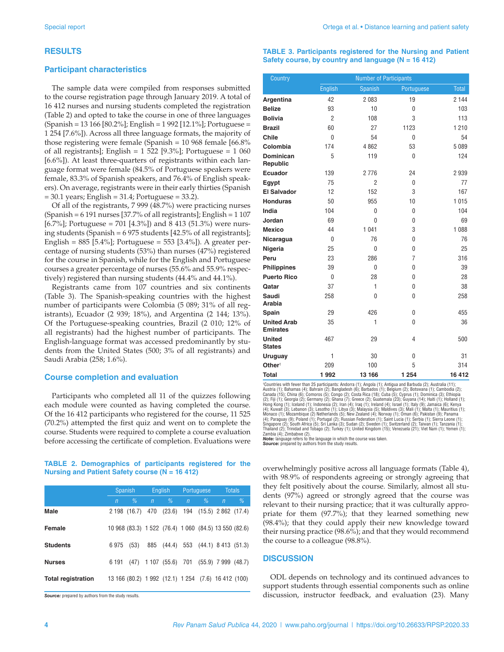### **RESULTS**

#### **Participant characteristics**

The sample data were compiled from responses submitted to the course registration page through January 2019. A total of 16 412 nurses and nursing students completed the registration (Table 2) and opted to take the course in one of three languages (Spanish = 13 166 [80.2%]; English = 1 992 [12.1%]; Portuguese = 1 254 [7.6%]). Across all three language formats, the majority of those registering were female (Spanish = 10 968 female [66.8% of all registrants]; English =  $1\,522$  [9.3%]; Portuguese =  $1\,060$ [6.6%]). At least three-quarters of registrants within each language format were female (84.5% of Portuguese speakers were female, 83.3% of Spanish speakers, and 76.4% of English speakers). On average, registrants were in their early thirties (Spanish  $= 30.1$  years; English  $= 31.4$ ; Portuguese  $= 33.2$ ).

Of all of the registrants, 7 999 (48.7%) were practicing nurses  $(Spanish = 6 191$  nurses [37.7% of all registrants]; English = 1 107 [6.7%]; Portuguese = 701 [4.3%]) and 8 413 (51.3%) were nursing students (Spanish = 6 975 students [42.5% of all registrants]; English = 885 [5.4%]; Portuguese = 553 [3.4%]). A greater percentage of nursing students (53%) than nurses (47%) registered for the course in Spanish, while for the English and Portuguese courses a greater percentage of nurses (55.6% and 55.9% respectively) registered than nursing students (44.4% and 44.1%).

Registrants came from 107 countries and six continents (Table 3). The Spanish-speaking countries with the highest number of participants were Colombia (5 089; 31% of all registrants), Ecuador (2 939; 18%), and Argentina (2 144; 13%). Of the Portuguese-speaking countries, Brazil (2 010; 12% of all registrants) had the highest number of participants. The English-language format was accessed predominantly by students from the United States (500; 3% of all registrants) and Saudi Arabia (258; 1.6%).

#### **Course completion and evaluation**

Participants who completed all 11 of the quizzes following each module were counted as having completed the course. Of the 16 412 participants who registered for the course, 11 525 (70.2%) attempted the first quiz and went on to complete the course. Students were required to complete a course evaluation before accessing the certificate of completion. Evaluations were

#### **TABLE 2. Demographics of participants registered for the Nursing and Patient Safety course (N = 16 412)**

|                           |                | <b>Spanish</b> |            | <b>English</b>          |            | Portuguese | <b>Totals</b>                                         |   |  |  |
|---------------------------|----------------|----------------|------------|-------------------------|------------|------------|-------------------------------------------------------|---|--|--|
|                           | $\overline{n}$ | $\%$           | $\sqrt{n}$ | $\%$                    | $\sqrt{n}$ | $\%$       | $\sqrt{n}$                                            | % |  |  |
| Male                      |                |                |            | 2 198 (16.7) 470 (23.6) |            |            | 194 (15.5) 2 862 (17.4)                               |   |  |  |
| Female                    |                |                |            |                         |            |            | 10 968 (83.3) 1 522 (76.4) 1 060 (84.5) 13 550 (82.6) |   |  |  |
| <b>Students</b>           | 6975           | (53)           |            |                         |            |            | 885 (44.4) 553 (44.1) 8413 (51.3)                     |   |  |  |
| <b>Nurses</b>             | 6 191          |                |            |                         |            |            | $(47)$ 1 107 $(55.6)$ 701 $(55.9)$ 7 999 $(48.7)$     |   |  |  |
| <b>Total registration</b> |                |                |            |                         |            |            | 13 166 (80.2) 1 992 (12.1) 1 254 (7.6) 16 412 (100)   |   |  |  |

*Source:* prepared by authors from the study results.

#### **TABLE 3. Participants registered for the Nursing and Patient Safety course, by country and language (N = 16 412)**

| Country                               |                | <b>Number of Participants</b> |                |              |  |  |  |  |  |
|---------------------------------------|----------------|-------------------------------|----------------|--------------|--|--|--|--|--|
|                                       | English        | <b>Spanish</b>                | Portuguese     | <b>Total</b> |  |  |  |  |  |
| Argentina                             | 42             | 2 0 8 3                       | 19             | 2 1 4 4      |  |  |  |  |  |
| <b>Belize</b>                         | 93             | 10                            | 0              | 103          |  |  |  |  |  |
| <b>Bolivia</b>                        | $\overline{2}$ | 108                           | 3              | 113          |  |  |  |  |  |
| <b>Brazil</b>                         | 60             |                               | 1123           | 1 2 1 0      |  |  |  |  |  |
| <b>Chile</b>                          | $\mathbf{0}$   |                               | 0              | 54           |  |  |  |  |  |
| Colombia                              | 174            | 4 8 6 2                       | 53             | 5 0 8 9      |  |  |  |  |  |
| <b>Dominican</b><br>Republic          | 5              | 119                           | $\mathbf{0}$   | 124          |  |  |  |  |  |
| <b>Ecuador</b>                        | 139            | 2776                          | 24             | 2939         |  |  |  |  |  |
| Egypt                                 | 75             | $\overline{2}$                | $\mathbf{0}$   | 77           |  |  |  |  |  |
| <b>El Salvador</b>                    | 12             | 152                           | 3              | 167          |  |  |  |  |  |
| <b>Honduras</b>                       | 50             | 955                           | 10             | 1015         |  |  |  |  |  |
| India                                 | 104            | 0                             | 0              | 104          |  |  |  |  |  |
| Jordan                                | 69             | $\overline{0}$                | $\mathbf{0}$   | 69           |  |  |  |  |  |
| <b>Mexico</b>                         | 44             | 1 0 4 1                       | 3              | 1 0 8 8      |  |  |  |  |  |
| Nicaragua                             | $\mathbf 0$    | 76                            | $\mathbf{0}$   | 76           |  |  |  |  |  |
| Nigeria                               | 25             | $\mathbf{0}$                  | $\mathbf{0}$   | 25           |  |  |  |  |  |
| Peru                                  | 23             | 286                           | 7              | 316          |  |  |  |  |  |
| <b>Philippines</b>                    | 39             | 0                             | 0              | 39           |  |  |  |  |  |
| <b>Puerto Rico</b>                    | $\mathbf{0}$   | 28                            | 0              | 28           |  |  |  |  |  |
| Qatar                                 | 37             | 1                             | 0              | 38           |  |  |  |  |  |
| Saudi<br>Arabia                       | 258            | 0                             | $\mathbf{0}$   | 258          |  |  |  |  |  |
| Spain                                 | 29             | 426                           | 0              | 455          |  |  |  |  |  |
| <b>United Arab</b><br><b>Emirates</b> | 35             | 1                             | 0              | 36           |  |  |  |  |  |
| <b>United</b><br><b>States</b>        | 467            | 29                            | $\overline{4}$ | 500          |  |  |  |  |  |
| <b>Uruguay</b>                        | 1              | 30                            | 0              | 31           |  |  |  |  |  |
| Other <sup>1</sup>                    | 209            | 100                           | 5              | 314          |  |  |  |  |  |
| <b>Total</b>                          | 1992           | 13 166                        | 1 2 5 4        | 16 412       |  |  |  |  |  |

'Countries with fewer than 25 participants: Andorra (1); Angola (1); Antigua and Barbuda (2); Australia (11); Anang (4); Bahrans (4); Bahrans (6); Bahrans (6); Bahrans (4); Bahrans (4); Bahrans (4); Bahrans (4); Bahrans (4 Thailand (2); Trinidad and Tobago (2); Turkey (1); United Kingdom (15); Venezuela (21); Viet Nam (1); Yemen (1); Zambia (4); Zimbabwe (2).<br>**Note:** language refers to the language in which the course was taken.<br>**Source:** prepared by authors from the study results.

overwhelmingly positive across all language formats (Table 4), with 98.9% of respondents agreeing or strongly agreeing that they felt positively about the course. Similarly, almost all students (97%) agreed or strongly agreed that the course was relevant to their nursing practice; that it was culturally appropriate for them (97.7%); that they learned something new (98.4%); that they could apply their new knowledge toward their nursing practice (98.6%); and that they would recommend the course to a colleague (98.8%).

#### **DISCUSSION**

ODL depends on technology and its continued advances to support students through essential components such as online discussion, instructor feedback, and evaluation (23). Many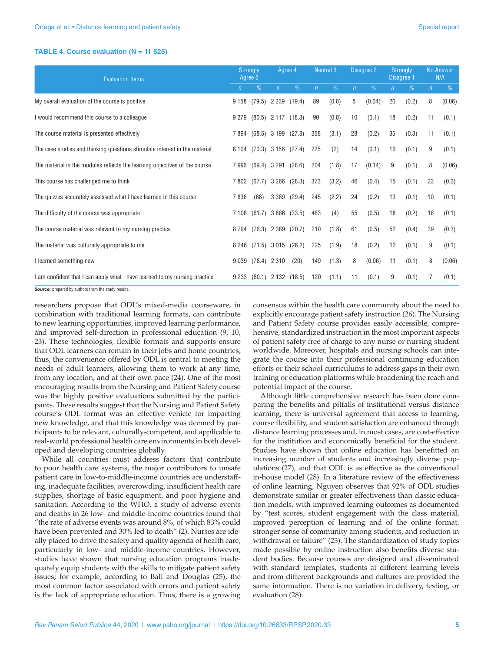#### **TABLE 4. Course evaluation (N = 11 525)**

| <b>Evaluation Items</b>                                                    |         | <b>Strongly</b><br>Agree 5 |                         | Agree 4 |                | Neutral 3 |                | Disagree 2 |            | <b>Stronaly</b><br>Disagree 1 |                | <b>No Answer</b><br>N/A |  |
|----------------------------------------------------------------------------|---------|----------------------------|-------------------------|---------|----------------|-----------|----------------|------------|------------|-------------------------------|----------------|-------------------------|--|
|                                                                            |         | $\%$                       | $\sqrt{n}$              | $\%$    | $\overline{n}$ | $\%$      | $\overline{n}$ | $\%$       | $\sqrt{n}$ | $\frac{9}{6}$                 | $\overline{n}$ | $\frac{9}{6}$           |  |
| My overall evaluation of the course is positive                            | 9 1 5 8 |                            | $(79.5)$ 2 239          | (19.4)  | 89             | (0.8)     | 5              | (0.04)     | 26         | (0.2)                         | 8              | (0.06)                  |  |
| I would recommend this course to a colleague                               | 9 2 7 9 |                            | $(80.5)$ 2 117 $(18.3)$ |         | 90             | (0.8)     | 10             | (0.1)      | 18         | (0.2)                         | 11             | (0.1)                   |  |
| The course material is presented effectively                               | 7894    | $(68.5)$ 3 199 $(27.8)$    |                         |         | 358            | (3.1)     | 28             | (0.2)      | 35         | (0.3)                         | 11             | (0.1)                   |  |
| The case studies and thinking questions stimulate interest in the material | 8 1 0 4 | $(70.3)$ 3 156 $(27.4)$    |                         |         | 225            | (2)       | 14             | (0.1)      | 16         | (0.1)                         | 9              | (0.1)                   |  |
| The material in the modules reflects the learning objectives of the course | 7996    |                            | $(69.4)$ 3 291          | (28.6)  | 204            | (1.8)     | 17             | (0.14)     | 9          | (0.1)                         | 8              | (0.06)                  |  |
| This course has challenged me to think                                     | 7802    | $(67.7)$ 3 266 $(28.3)$    |                         |         | 373            | (3.2)     | 46             | (0.4)      | 15         | (0.1)                         | 23             | (0.2)                   |  |
| The quizzes accurately assessed what I have learned in this course         | 7836    | (68)                       | 3 3 8 9                 | (29.4)  | 245            | (2.2)     | 24             | (0.2)      | 13         | (0.1)                         | 10             | (0.1)                   |  |
| The difficulty of the course was appropriate                               | 7 108   |                            | $(61.7)$ 3866           | (33.5)  | 463            | (4)       | 55             | (0.5)      | 18         | (0.2)                         | 16             | (0.1)                   |  |
| The course material was relevant to my nursing practice                    | 8 7 9 4 | $(76.3)$ 2 389             |                         | (20.7)  | 210            | (1.8)     | 61             | (0.5)      | 52         | (0.4)                         | 39             | (0.3)                   |  |
| The material was culturally appropriate to me                              | 8 2 4 6 | $(71.5)$ 3015              |                         | (26.2)  | 225            | (1.9)     | 18             | (0.2)      | 12         | (0.1)                         | 9              | (0.1)                   |  |
| I learned something new                                                    | 9039    | $(78.4)$ 2 310             |                         | (20)    | 149            | (1.3)     | 8              | (0.06)     | 11         | (0.1)                         | 8              | (0.06)                  |  |
| I am confident that I can apply what I have learned to my nursing practice | 9 2 3 3 | (80.1)                     | 2 1 3 2                 | (18.5)  | 120            | (1.1)     | 11             | (0.1)      | 9          | (0.1)                         |                | (0.1)                   |  |

*Source:* prepared by authors from the study results.

researchers propose that ODL's mixed-media courseware, in combination with traditional learning formats, can contribute to new learning opportunities, improved learning performance, and improved self-direction in professional education (9, 10, 23). These technologies, flexible formats and supports ensure that ODL learners can remain in their jobs and home countries; thus, the convenience offered by ODL is central to meeting the needs of adult learners, allowing them to work at any time, from any location, and at their own pace (24). One of the most encouraging results from the Nursing and Patient Safety course was the highly positive evaluations submitted by the participants. These results suggest that the Nursing and Patient Safety course's ODL format was an effective vehicle for imparting new knowledge, and that this knowledge was deemed by participants to be relevant, culturally-competent, and applicable to real-world professional health care environments in both developed and developing countries globally.

While all countries must address factors that contribute to poor health care systems, the major contributors to unsafe patient care in low-to-middle-income countries are understaffing, inadequate facilities, overcrowding, insufficient health care supplies, shortage of basic equipment, and poor hygiene and sanitation. According to the WHO, a study of adverse events and deaths in 26 low- and middle-income countries found that "the rate of adverse events was around 8%, of which 83% could have been prevented and 30% led to death" (2). Nurses are ideally placed to drive the safety and quality agenda of health care, particularly in low- and middle-income countries. However, studies have shown that nursing education programs inadequately equip students with the skills to mitigate patient safety issues; for example, according to Ball and Douglas (25), the most common factor associated with errors and patient safety is the lack of appropriate education. Thus, there is a growing

consensus within the health care community about the need to explicitly encourage patient safety instruction (26). The Nursing and Patient Safety course provides easily accessible, comprehensive, standardized instruction in the most important aspects of patient safety free of charge to any nurse or nursing student worldwide. Moreover, hospitals and nursing schools can integrate the course into their professional continuing education efforts or their school curriculums to address gaps in their own training or education platforms while broadening the reach and potential impact of the course.

Although little comprehensive research has been done comparing the benefits and pitfalls of institutional versus distance learning, there is universal agreement that access to learning, course flexibility, and student satisfaction are enhanced through distance learning processes and, in most cases, are cost-effective for the institution and economically beneficial for the student. Studies have shown that online education has benefitted an increasing number of students and increasingly diverse populations (27), and that ODL is as effective as the conventional in-house model (28). In a literature review of the effectiveness of online learning, Nguyen observes that 92% of ODL studies demonstrate similar or greater effectiveness than classic education models, with improved learning outcomes as documented by "test scores, student engagement with the class material, improved perception of learning and of the online format, stronger sense of community among students, and reduction in withdrawal or failure" (23). The standardization of study topics made possible by online instruction also benefits diverse student bodies. Because courses are designed and disseminated with standard templates, students at different learning levels and from different backgrounds and cultures are provided the same information. There is no variation in delivery, testing, or evaluation (28).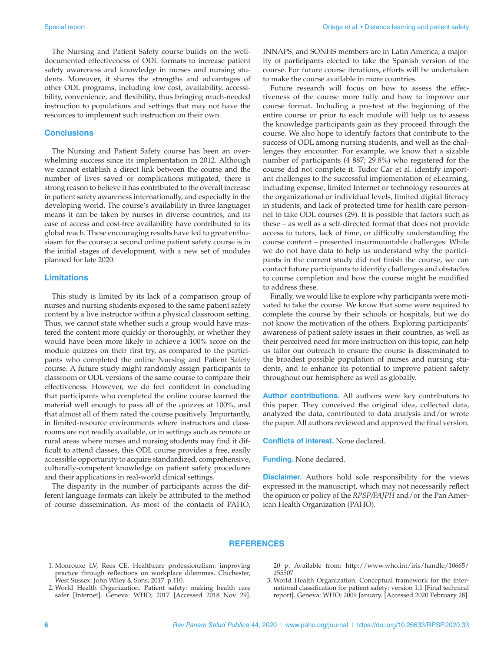The Nursing and Patient Safety course builds on the welldocumented effectiveness of ODL formats to increase patient safety awareness and knowledge in nurses and nursing students. Moreover, it shares the strengths and advantages of other ODL programs, including low cost, availability, accessibility, convenience, and flexibility, thus bringing much-needed instruction to populations and settings that may not have the resources to implement such instruction on their own.

#### **Conclusions**

The Nursing and Patient Safety course has been an overwhelming success since its implementation in 2012. Although we cannot establish a direct link between the course and the number of lives saved or complications mitigated, there is strong reason to believe it has contributed to the overall increase in patient safety awareness internationally, and especially in the developing world. The course's availability in three languages means it can be taken by nurses in diverse countries, and its ease of access and cost-free availability have contributed to its global reach. These encouraging results have led to great enthusiasm for the course; a second online patient safety course is in the initial stages of development, with a new set of modules planned for late 2020.

#### **Limitations**

This study is limited by its lack of a comparison group of nurses and nursing students exposed to the same patient safety content by a live instructor within a physical classroom setting. Thus, we cannot state whether such a group would have mastered the content more quickly or thoroughly, or whether they would have been more likely to achieve a 100% score on the module quizzes on their first try, as compared to the participants who completed the online Nursing and Patient Safety course. A future study might randomly assign participants to classroom or ODL versions of the same course to compare their effectiveness. However, we do feel confident in concluding that participants who completed the online course learned the material well enough to pass all of the quizzes at 100%, and that almost all of them rated the course positively. Importantly, in limited-resource environments where instructors and classrooms are not readily available, or in settings such as remote or rural areas where nurses and nursing students may find it difficult to attend classes, this ODL course provides a free, easily accessible opportunity to acquire standardized, comprehensive, culturally-competent knowledge on patient safety procedures and their applications in real-world clinical settings.

The disparity in the number of participants across the different language formats can likely be attributed to the method of course dissemination. As most of the contacts of PAHO,

INNAPS, and SONHS members are in Latin America, a majority of participants elected to take the Spanish version of the course. For future course iterations, efforts will be undertaken to make the course available in more countries.

Future research will focus on how to assess the effectiveness of the course more fully and how to improve our course format. Including a pre-test at the beginning of the entire course or prior to each module will help us to assess the knowledge participants gain as they proceed through the course. We also hope to identify factors that contribute to the success of ODL among nursing students, and well as the challenges they encounter. For example, we know that a sizable number of participants (4 887; 29.8%) who registered for the course did not complete it. Tudor Car et al. identify important challenges to the successful implementation of eLearning, including expense, limited Internet or technology resources at the organizational or individual levels, limited digital literacy in students, and lack of protected time for health care personnel to take ODL courses (29). It is possible that factors such as these – as well as a self-directed format that does not provide access to tutors, lack of time, or difficulty understanding the course content – presented insurmountable challenges. While we do not have data to help us understand why the participants in the current study did not finish the course, we can contact future participants to identify challenges and obstacles to course completion and how the course might be modified to address these.

Finally, we would like to explore why participants were motivated to take the course. We know that some were required to complete the course by their schools or hospitals, but we do not know the motivation of the others. Exploring participants' awareness of patient safety issues in their countries, as well as their perceived need for more instruction on this topic, can help us tailor our outreach to ensure the course is disseminated to the broadest possible population of nurses and nursing students, and to enhance its potential to improve patient safety throughout our hemisphere as well as globally.

**Author contributions.** All authors were key contributors to this paper. They conceived the original idea, collected data, analyzed the data, contributed to data analysis and/or wrote the paper. All authors reviewed and approved the final version.

**Conflicts of interest.** None declared.

**Funding.** None declared.

**Disclaimer.** Authors hold sole responsibility for the views expressed in the manuscript, which may not necessarily reflect the opinion or policy of the *RPSP/PAJPH* and/or the Pan American Health Organization (PAHO).

### **REFERENCES**

- 1. Monrouxe LV, Rees CE. Healthcare professionalism: improving practice through reflections on workplace dilemmas. Chichester, West Sussex: John Wiley & Sons; 2017. p.110.
- 2. World Health Organization. Patient safety: making health care safer [Internet]. Geneva: WHO; 2017 [Accessed 2018 Nov 29].

20 p. Available from: [http://www.who.int/iris/handle/10665/](http://www.who.int/iris/handle/10665/255507) [255507](http://www.who.int/iris/handle/10665/255507)

3. World Health Organization. Conceptual framework for the international classification for patient safety: version 1.1 [Final technical report]. Geneva: WHO; 2009 January. [Accessed 2020 February 28].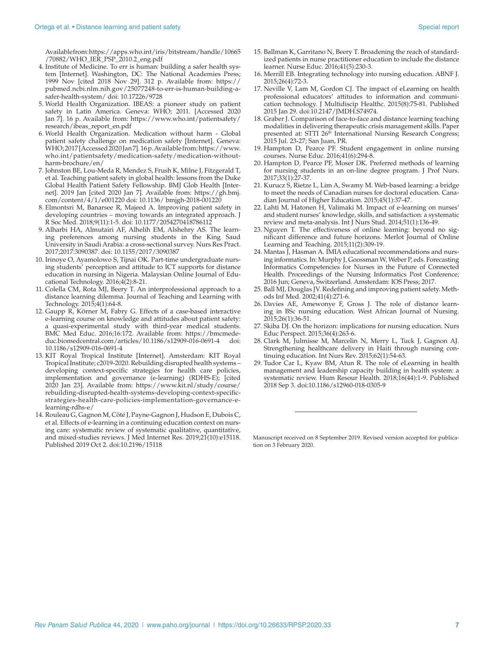Available from: [https://apps.who.int/iris/bitstream/handle/10665](https://apps.who.int/iris/bitstream/handle/10665/70882/WHO_IER_PSP_2010.2_eng.pdf) [/70882/WHO\\_IER\\_PSP\\_2010.2\\_eng.pdf](https://apps.who.int/iris/bitstream/handle/10665/70882/WHO_IER_PSP_2010.2_eng.pdf)

- 4. Institute of Medicine. To err is human: building a safer health system [Internet]. Washington, DC: The National Academies Press; 1999 Nov [cited 2018 Nov 29]. 312 p. Available from: [https://](https://pubmed.ncbi.nlm.nih.gov/25077248-to-err-is-human-building-a-safer-health-system) [pubmed.ncbi.nlm.nih.gov/25077248-to-err-is-human-building-a](https://pubmed.ncbi.nlm.nih.gov/25077248-to-err-is-human-building-a-safer-health-system)[safer-health-system](https://pubmed.ncbi.nlm.nih.gov/25077248-to-err-is-human-building-a-safer-health-system)/ doi: 10.17226/9728
- 5. World Health Organization. IBEAS: a pioneer study on patient safety in Latin America. Geneva: WHO; 2011. [Accessed 2020 Jan 7]. 16 p. Available from: [https://www.who.int/patientsafety/](https://www.who.int/patientsafety/research/ibeas_report_en.pdf) [research/ibeas\\_report\\_en.pdf](https://www.who.int/patientsafety/research/ibeas_report_en.pdf)
- 6. World Health Organization. Medication without harm Global patient safety challenge on medication safety [Internet]. Geneva: WHO; 2017 [Accessed 2020 Jan 7]. 16 p. Available from: [https://www.](https://www.who.int/patientsafety/medication-safety/medication-without-harm-brochure/en) [who.int/patientsafety/medication-safety/medication-without](https://www.who.int/patientsafety/medication-safety/medication-without-harm-brochure/en)[harm-brochure/en/](https://www.who.int/patientsafety/medication-safety/medication-without-harm-brochure/en)
- 7. Johnston BE, Lou-Meda R, Mendez S, Frush K, Milne J, Fitzgerald T, et al. Teaching patient safety in global health: lessons from the Duke Global Health Patient Safety Fellowship. BMJ Glob Health [Internet]. 2019 Jan [cited 2020 Jan 7]. Available from: [https://gh.bmj.](https://gh.bmj.com/content/4/1/e001220) [com/content/4/1/e001220](https://gh.bmj.com/content/4/1/e001220) doi: 10.1136/ bmjgh-2018-001220
- 8. Elmontsri M, Banarsee R, Majeed A. Improving patient safety in developing countries – moving towards an integrated approach. J R Soc Med. 2018;9(11):1-5. doi: 10.1177/2054270418786112
- 9. Alharbi HA, Almutairi AF, Alhelih EM, Alshehry AS. The learning preferences among nursing students in the King Saud University in Saudi Arabia: a cross-sectional survey. Nurs Res Pract. 2017;2017:3090387. doi: 10.1155/2017/3090387
- 10. Irinoye O, Ayamolowo S, Tijnai OK. Part-time undergraduate nursing students' perception and attitude to ICT supports for distance education in nursing in Nigeria. Malaysian Online Journal of Educational Technology. 2016;4(2):8-21.
- 11. Colella CM, Rota MJ, Beery T. An interprofessional approach to a distance learning dilemma. Journal of Teaching and Learning with Technology. 2015;4(1):64-8.
- 12. Gaupp R, KÖrner M, Fabry G. Effects of a case-based interactive e-learning course on knowledge and attitudes about patient safety: a quasi-experimental study with third-year medical students. BMC Med Educ. 2016;16:172. Available from: [https://bmcmede](https://bmcmededuc.biomedcentral.com/articles/10.1186/s12909-016-0691-4)[duc.biomedcentral.com/articles/10.1186/s12909-016-0691-4](https://bmcmededuc.biomedcentral.com/articles/10.1186/s12909-016-0691-4) doi: 10.1186/s12909-016-0691-4
- 13. KIT Royal Tropical Institute [Internet]. Amsterdam: KIT Royal Tropical Institute; c2019-2020. Rebuilding disrupted health systems – developing context-specific strategies for health care policies, implementation and governance (e-learning) (RDHS-E); [cited 2020 Jan 23]. Available from: [https://www.kit.nl/study/course/](https://www.kit.nl/study/course/rebuilding-disrupted-health-systems-developing-context-specific-strategies-health-care-policies-implementation-governance-e-learning-rdhs-e) [rebuilding-disrupted-health-systems-developing-context-specific](https://www.kit.nl/study/course/rebuilding-disrupted-health-systems-developing-context-specific-strategies-health-care-policies-implementation-governance-e-learning-rdhs-e)[strategies-health-care-policies-implementation-governance-e](https://www.kit.nl/study/course/rebuilding-disrupted-health-systems-developing-context-specific-strategies-health-care-policies-implementation-governance-e-learning-rdhs-e)[learning-rdhs-e/](https://www.kit.nl/study/course/rebuilding-disrupted-health-systems-developing-context-specific-strategies-health-care-policies-implementation-governance-e-learning-rdhs-e)
- 14. Rouleau G, Gagnon M, Côté J, Payne-Gagnon J, Hudson E, Dubois C, et al. Effects of e-learning in a continuing education context on nursing care: systematic review of systematic qualitative, quantitative, and mixed-studies reviews. J Med Internet Res. 2019;21(10):e15118. Published 2019 Oct 2. doi:10.2196/15118
- 15. Ballman K, Garritano N, Beery T. Broadening the reach of standardized patients in nurse practitioner education to include the distance learner. Nurse Educ. 2016;41(5):230-3.
- 16. Merrill EB. Integrating technology into nursing education. ABNF J. 2015;26(4):72-3.
- 17. Neville V, Lam M, Gordon CJ. The impact of eLearning on health professional educators' attitudes to information and communication technology. J Multidiscip Healthc. 2015(8):75-81. Published 2015 Jan 29. doi:10.2147/JMDH.S74974.
- 18. Graber J. Comparison of face-to-face and distance learning teaching modalities in delivering therapeutic crisis management skills. Paper presented at: STTI 26<sup>th</sup> International Nursing Research Congress; 2015 Jul. 23-27; San Juan, PR.
- 19. Hampton D, Pearce PF. Student engagement in online nursing courses. Nurse Educ. 2016;41(6):294-8.
- 20. Hampton D, Pearce PF, Moser DK. Preferred methods of learning for nursing students in an on-line degree program. J Prof Nurs. 2017;33(1):27-37.
- 21. Kurucz S, Rietze L, Lim A, Swamy M. Web-based learning: a bridge to meet the needs of Canadian nurses for doctoral education. Canadian Journal of Higher Education. 2015;45(1):37-47.
- 22. Lahti M, Hatonen H, Valimaki M. Impact of e-learning on nurses' and student nurses' knowledge, skills, and satisfaction: a systematic review and meta-analysis. Int J Nurs Stud. 2014;51(1):136-49.
- 23. Nguyen T. The effectiveness of online learning: beyond no significant difference and future horizons. Merlot Journal of Online Learning and Teaching. 2015;11(2):309-19.
- 24. Mantas J, Hasman A. IMIA educational recommendations and nursing informatics. In: Murphy J, Goossman W, Weber P, eds. Forecasting Informatics Competencies for Nurses in the Future of Connected Health. Proceedings of the Nursing Informatics Post Conference; 2016 Jun; Geneva, Switzerland. Amsterdam: IOS Press; 2017.
- 25. Ball MJ, Douglas JV. Redefining and improving patient safety. Methods Inf Med. 2002;41(4):271-6.
- 26. Davies AE, Amewonye F, Gross J. The role of distance learning in BSc nursing education. West African Journal of Nursing. 2015;26(1):36-51.
- 27. Skiba DJ. On the horizon: implications for nursing education. Nurs Educ Perspect. 2015;36(4):263-6.
- 28. Clark M, Julmisse M, Marcelin N, Merry L, Tuck J, Gagnon AJ. Strengthening healthcare delivery in Haiti through nursing continuing education. Int Nurs Rev. 2015;62(1):54-63.
- 29. Tudor Car L, Kyaw BM, Atun R. The role of eLearning in health management and leadership capacity building in health system: a systematic review. Hum Resour Health. 2018;16(44):1-9. Published 2018 Sep 3. doi:10.1186/s12960-018-0305-9

Manuscript received on 8 September 2019. Revised version accepted for publication on 3 February 2020.